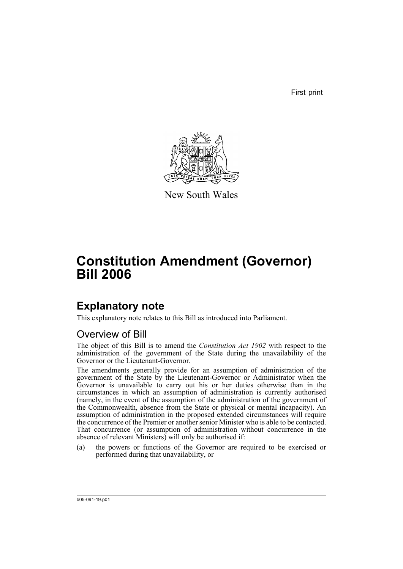First print



New South Wales

# **Constitution Amendment (Governor) Bill 2006**

## **Explanatory note**

This explanatory note relates to this Bill as introduced into Parliament.

### Overview of Bill

The object of this Bill is to amend the *Constitution Act 1902* with respect to the administration of the government of the State during the unavailability of the Governor or the Lieutenant-Governor.

The amendments generally provide for an assumption of administration of the government of the State by the Lieutenant-Governor or Administrator when the Governor is unavailable to carry out his or her duties otherwise than in the circumstances in which an assumption of administration is currently authorised (namely, in the event of the assumption of the administration of the government of the Commonwealth, absence from the State or physical or mental incapacity). An assumption of administration in the proposed extended circumstances will require the concurrence of the Premier or another senior Minister who is able to be contacted. That concurrence (or assumption of administration without concurrence in the absence of relevant Ministers) will only be authorised if:

(a) the powers or functions of the Governor are required to be exercised or performed during that unavailability, or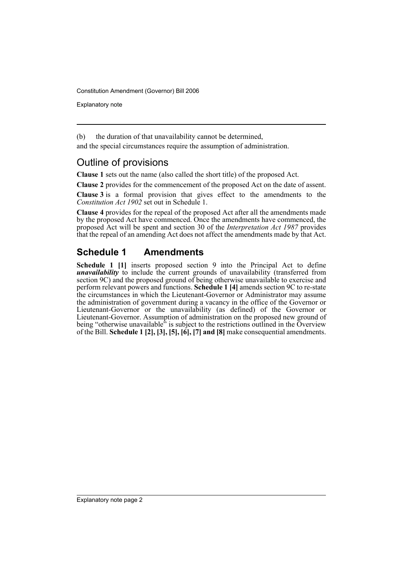Explanatory note

(b) the duration of that unavailability cannot be determined,

and the special circumstances require the assumption of administration.

#### Outline of provisions

**Clause 1** sets out the name (also called the short title) of the proposed Act.

**Clause 2** provides for the commencement of the proposed Act on the date of assent.

**Clause 3** is a formal provision that gives effect to the amendments to the *Constitution Act 1902* set out in Schedule 1.

**Clause 4** provides for the repeal of the proposed Act after all the amendments made by the proposed Act have commenced. Once the amendments have commenced, the proposed Act will be spent and section 30 of the *Interpretation Act 1987* provides that the repeal of an amending Act does not affect the amendments made by that Act.

### **Schedule 1 Amendments**

**Schedule 1 [1]** inserts proposed section 9 into the Principal Act to define *unavailability* to include the current grounds of unavailability (transferred from section 9C) and the proposed ground of being otherwise unavailable to exercise and perform relevant powers and functions. **Schedule 1 [4]** amends section 9C to re-state the circumstances in which the Lieutenant-Governor or Administrator may assume the administration of government during a vacancy in the office of the Governor or Lieutenant-Governor or the unavailability (as defined) of the Governor or Lieutenant-Governor. Assumption of administration on the proposed new ground of being "otherwise unavailable" is subject to the restrictions outlined in the Overview of the Bill. **Schedule 1 [2], [3], [5], [6], [7] and [8]** make consequential amendments.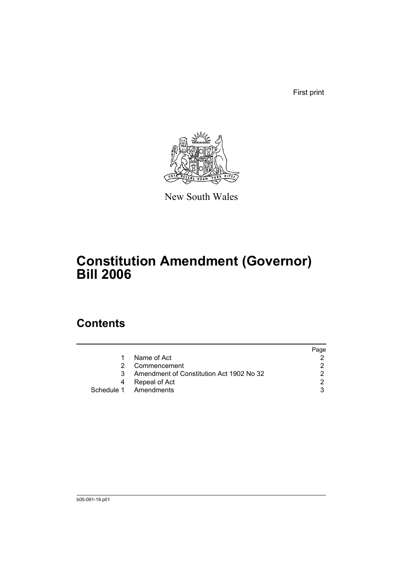First print



New South Wales

# **Constitution Amendment (Governor) Bill 2006**

### **Contents**

|    |                                          | Page |
|----|------------------------------------------|------|
| 1. | Name of Act                              |      |
| 2. | Commencement                             |      |
| 3  | Amendment of Constitution Act 1902 No 32 | ົ    |
| 4  | Repeal of Act                            |      |
|    | Schedule 1 Amendments                    |      |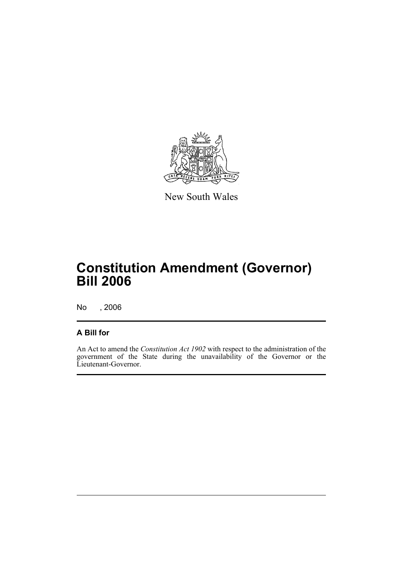

New South Wales

# **Constitution Amendment (Governor) Bill 2006**

No , 2006

#### **A Bill for**

An Act to amend the *Constitution Act 1902* with respect to the administration of the government of the State during the unavailability of the Governor or the Lieutenant-Governor.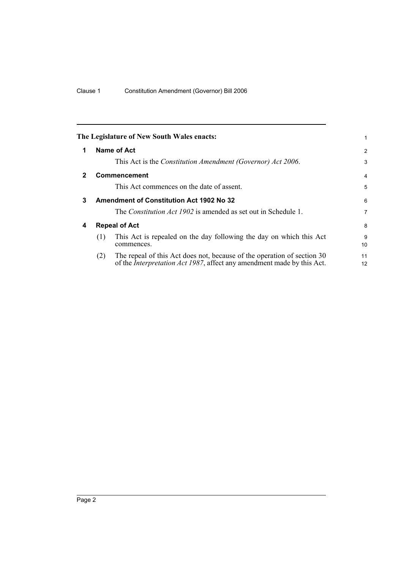<span id="page-5-3"></span><span id="page-5-2"></span><span id="page-5-1"></span><span id="page-5-0"></span>

|     |                                                                                                                                                           | 1                                                                                                                                                           |
|-----|-----------------------------------------------------------------------------------------------------------------------------------------------------------|-------------------------------------------------------------------------------------------------------------------------------------------------------------|
|     |                                                                                                                                                           | $\overline{2}$                                                                                                                                              |
|     | This Act is the <i>Constitution Amendment (Governor) Act 2006</i> .                                                                                       | 3                                                                                                                                                           |
|     |                                                                                                                                                           | $\overline{4}$                                                                                                                                              |
|     | This Act commences on the date of assent.                                                                                                                 | 5                                                                                                                                                           |
|     |                                                                                                                                                           | 6                                                                                                                                                           |
|     | The <i>Constitution Act 1902</i> is amended as set out in Schedule 1.                                                                                     | 7                                                                                                                                                           |
|     |                                                                                                                                                           | 8                                                                                                                                                           |
| (1) | This Act is repealed on the day following the day on which this Act<br>commences.                                                                         | 9<br>10                                                                                                                                                     |
| (2) | The repeal of this Act does not, because of the operation of section 30<br>of the <i>Interpretation Act 1987</i> , affect any amendment made by this Act. | 11<br>12                                                                                                                                                    |
|     |                                                                                                                                                           | The Legislature of New South Wales enacts:<br>Name of Act<br><b>Commencement</b><br><b>Amendment of Constitution Act 1902 No 32</b><br><b>Repeal of Act</b> |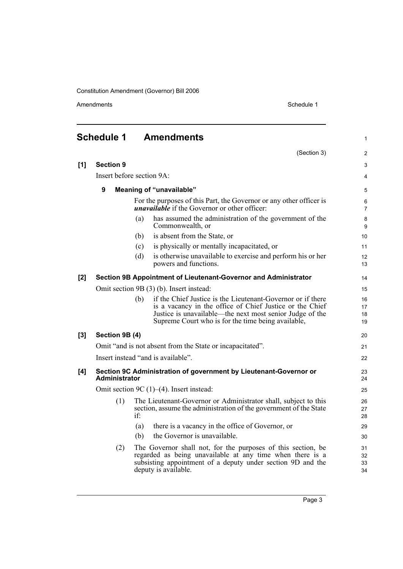Amendments Schedule 1

<span id="page-6-0"></span>

|       | <b>Schedule 1</b>                                                                         | <b>Amendments</b>                                                                                                                                                                                                | $\mathbf{1}$         |
|-------|-------------------------------------------------------------------------------------------|------------------------------------------------------------------------------------------------------------------------------------------------------------------------------------------------------------------|----------------------|
|       |                                                                                           | (Section 3)                                                                                                                                                                                                      | 2                    |
| [1]   | <b>Section 9</b>                                                                          |                                                                                                                                                                                                                  | 3                    |
|       |                                                                                           | Insert before section 9A:                                                                                                                                                                                        | $\overline{4}$       |
|       | 9                                                                                         | <b>Meaning of "unavailable"</b>                                                                                                                                                                                  | 5                    |
|       |                                                                                           | For the purposes of this Part, the Governor or any other officer is<br><i>unavailable</i> if the Governor or other officer:                                                                                      | 6<br>$\overline{7}$  |
|       |                                                                                           | has assumed the administration of the government of the<br>(a)<br>Commonwealth, or                                                                                                                               | $\bf 8$<br>9         |
|       |                                                                                           | is absent from the State, or<br>(b)                                                                                                                                                                              | 10                   |
|       |                                                                                           | is physically or mentally incapacitated, or<br>(c)                                                                                                                                                               | 11                   |
|       |                                                                                           | (d)<br>is otherwise unavailable to exercise and perform his or her<br>powers and functions.                                                                                                                      | 12<br>13             |
| $[2]$ |                                                                                           | Section 9B Appointment of Lieutenant-Governor and Administrator                                                                                                                                                  | 14                   |
|       |                                                                                           | Omit section 9B (3) (b). Insert instead:                                                                                                                                                                         | 15                   |
|       |                                                                                           | if the Chief Justice is the Lieutenant-Governor or if there<br>(b)                                                                                                                                               | 16                   |
|       |                                                                                           | is a vacancy in the office of Chief Justice or the Chief<br>Justice is unavailable—the next most senior Judge of the                                                                                             | 17<br>18             |
|       |                                                                                           | Supreme Court who is for the time being available,                                                                                                                                                               | 19                   |
| [3]   | Section 9B (4)                                                                            |                                                                                                                                                                                                                  | 20                   |
|       | Omit "and is not absent from the State or incapacitated".                                 |                                                                                                                                                                                                                  |                      |
|       |                                                                                           | Insert instead "and is available".                                                                                                                                                                               | 22                   |
| [4]   | Section 9C Administration of government by Lieutenant-Governor or<br><b>Administrator</b> |                                                                                                                                                                                                                  | 23<br>24             |
|       |                                                                                           | Omit section 9C $(1)$ – $(4)$ . Insert instead:                                                                                                                                                                  | 25                   |
|       | (1)                                                                                       | The Lieutenant-Governor or Administrator shall, subject to this<br>section, assume the administration of the government of the State<br>if:                                                                      | 26<br>27<br>28       |
|       |                                                                                           | there is a vacancy in the office of Governor, or<br>(a)                                                                                                                                                          | 29                   |
|       |                                                                                           | the Governor is unavailable.<br>(b)                                                                                                                                                                              | 30                   |
|       | (2)                                                                                       | The Governor shall not, for the purposes of this section, be<br>regarded as being unavailable at any time when there is a<br>subsisting appointment of a deputy under section 9D and the<br>deputy is available. | 31<br>32<br>33<br>34 |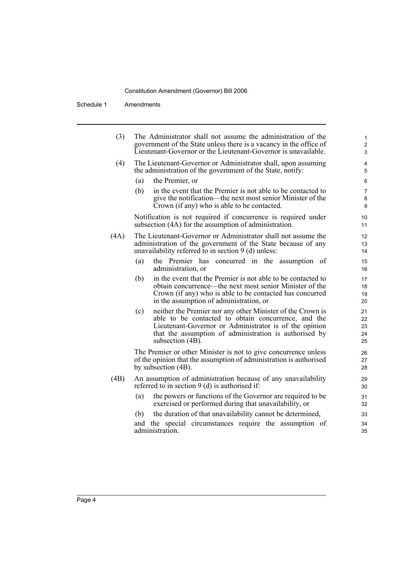Schedule 1 Amendments

| $\mathbf{1}$<br>$\overline{2}$<br>3 | The Administrator shall not assume the administration of the<br>government of the State unless there is a vacancy in the office of<br>Lieutenant-Governor or the Lieutenant-Governor is unavailable.                                                             |      |  |  |
|-------------------------------------|------------------------------------------------------------------------------------------------------------------------------------------------------------------------------------------------------------------------------------------------------------------|------|--|--|
| $\overline{\mathbf{4}}$<br>5        | The Lieutenant-Governor or Administrator shall, upon assuming<br>the administration of the government of the State, notify:                                                                                                                                      | (4)  |  |  |
| $\,6$                               | the Premier, or<br>(a)                                                                                                                                                                                                                                           |      |  |  |
| $\overline{7}$<br>8<br>9            | in the event that the Premier is not able to be contacted to<br>(b)<br>give the notification—the next most senior Minister of the<br>Crown (if any) who is able to be contacted.                                                                                 |      |  |  |
| 10<br>11                            | Notification is not required if concurrence is required under<br>subsection (4A) for the assumption of administration.                                                                                                                                           |      |  |  |
| 12<br>13<br>14                      | The Lieutenant-Governor or Administrator shall not assume the<br>administration of the government of the State because of any<br>unavailability referred to in section $9$ (d) unless:                                                                           | (4A) |  |  |
| 15<br>16                            | (a)<br>the Premier has concurred in the assumption of<br>administration, or                                                                                                                                                                                      |      |  |  |
| 17<br>18<br>19<br>20                | in the event that the Premier is not able to be contacted to<br>(b)<br>obtain concurrence—the next most senior Minister of the<br>Crown (if any) who is able to be contacted has concurred<br>in the assumption of administration, or                            |      |  |  |
| 21<br>22<br>23<br>24<br>25          | neither the Premier nor any other Minister of the Crown is<br>(c)<br>able to be contacted to obtain concurrence, and the<br>Lieutenant-Governor or Administrator is of the opinion<br>that the assumption of administration is authorised by<br>subsection (4B). |      |  |  |
| 26<br>27<br>28                      | The Premier or other Minister is not to give concurrence unless<br>of the opinion that the assumption of administration is authorised<br>by subsection (4B).                                                                                                     |      |  |  |
| 29<br>30                            | An assumption of administration because of any unavailability<br>referred to in section $9$ (d) is authorised if:                                                                                                                                                | (4B) |  |  |
| 31<br>32                            | the powers or functions of the Governor are required to be<br>(a)<br>exercised or performed during that unavailability, or                                                                                                                                       |      |  |  |
| 33                                  | the duration of that unavailability cannot be determined,<br>(b)                                                                                                                                                                                                 |      |  |  |
| 34                                  | and the special circumstances require the assumption of                                                                                                                                                                                                          |      |  |  |

and the special circumstances require the assumption of administration.

35